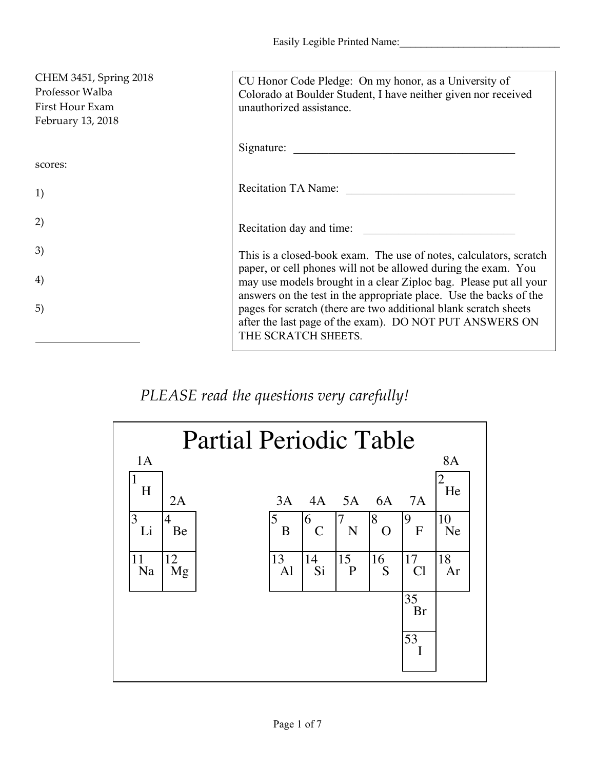Easily Legible Printed Name:

| CHEM 3451, Spring 2018<br>Professor Walba<br>First Hour Exam<br>February 13, 2018 | CU Honor Code Pledge: On my honor, as a University of<br>Colorado at Boulder Student, I have neither given nor received<br>unauthorized assistance.                                                       |
|-----------------------------------------------------------------------------------|-----------------------------------------------------------------------------------------------------------------------------------------------------------------------------------------------------------|
|                                                                                   | Signature:                                                                                                                                                                                                |
| scores:                                                                           |                                                                                                                                                                                                           |
| 1)                                                                                | <b>Recitation TA Name:</b>                                                                                                                                                                                |
| 2)                                                                                | Recitation day and time:                                                                                                                                                                                  |
| 3)                                                                                | This is a closed-book exam. The use of notes, calculators, scratch                                                                                                                                        |
| 4)                                                                                | paper, or cell phones will not be allowed during the exam. You<br>may use models brought in a clear Ziploc bag. Please put all your<br>answers on the test in the appropriate place. Use the backs of the |
| 5)                                                                                | pages for scratch (there are two additional blank scratch sheets<br>after the last page of the exam). DO NOT PUT ANSWERS ON<br>THE SCRATCH SHEETS.                                                        |

## *PLEASE read the questions very carefully!*

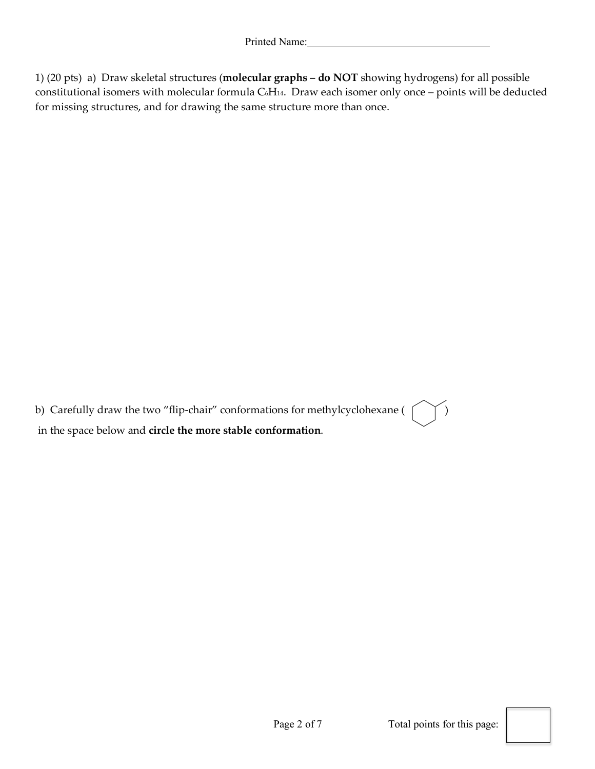1) (20 pts) a) Draw skeletal structures (**molecular graphs – do NOT** showing hydrogens) for all possible constitutional isomers with molecular formula C6H14. Draw each isomer only once – points will be deducted for missing structures, and for drawing the same structure more than once.

b) Carefully draw the two "flip-chair" conformations for methylcyclohexane ( $\uparrow \uparrow$ ) in the space below and **circle the more stable conformation**.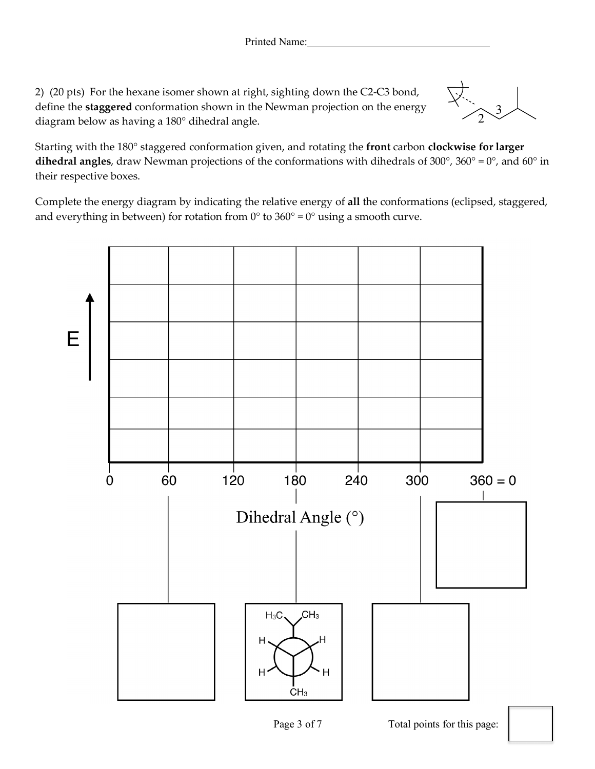2) (20 pts) For the hexane isomer shown at right, sighting down the C2-C3 bond, define the **staggered** conformation shown in the Newman projection on the energy diagram below as having a 180° dihedral angle.

 $\widehat{2}$ <sup>3</sup>

Starting with the 180° staggered conformation given, and rotating the **front** carbon **clockwise for larger dihedral angles**, draw Newman projections of the conformations with dihedrals of 300°, 360° = 0°, and 60° in their respective boxes.

Complete the energy diagram by indicating the relative energy of **all** the conformations (eclipsed, staggered, and everything in between) for rotation from  $0^{\circ}$  to  $360^{\circ} = 0^{\circ}$  using a smooth curve.

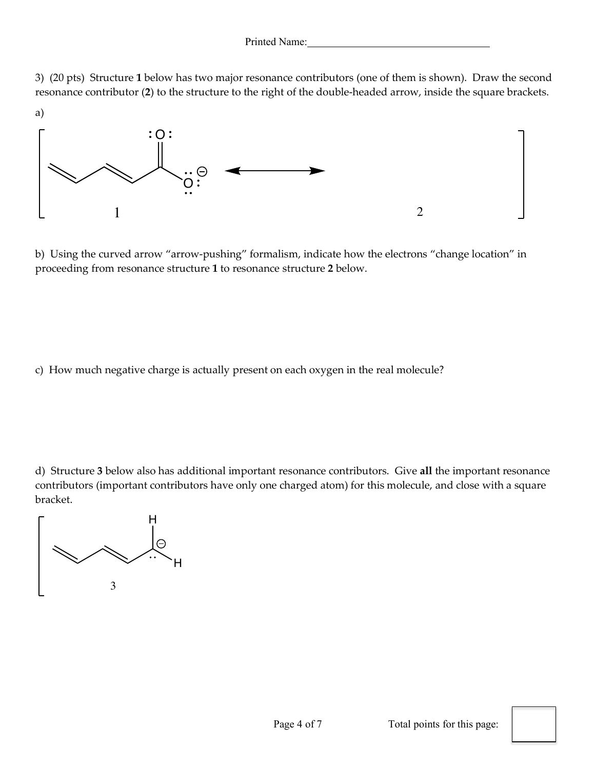3) (20 pts) Structure **1** below has two major resonance contributors (one of them is shown). Draw the second resonance contributor (**2**) to the structure to the right of the double-headed arrow, inside the square brackets.



b) Using the curved arrow "arrow-pushing" formalism, indicate how the electrons "change location" in proceeding from resonance structure **1** to resonance structure **2** below.

c) How much negative charge is actually present on each oxygen in the real molecule?

d) Structure **3** below also has additional important resonance contributors. Give **all** the important resonance contributors (important contributors have only one charged atom) for this molecule, and close with a square bracket.

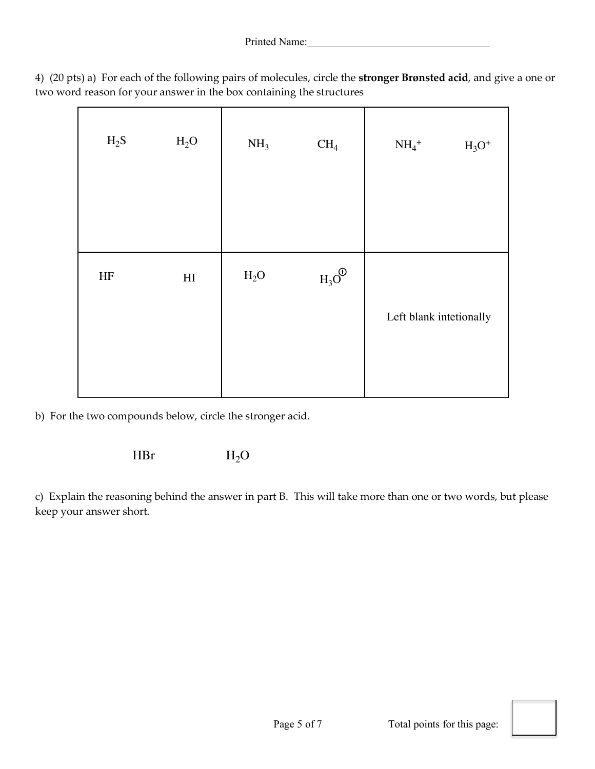|  |                                                                      |  | 4) (20 pts) a) For each of the following pairs of molecules, circle the stronger Brønsted acid, and give a one or |  |  |
|--|----------------------------------------------------------------------|--|-------------------------------------------------------------------------------------------------------------------|--|--|
|  | two word reason for your answer in the box containing the structures |  |                                                                                                                   |  |  |

| $H_2S$    | H <sub>2</sub> O           | NH <sub>3</sub>  | CH <sub>4</sub>   | $NH_4$ <sup>+</sup>     | $H_3O^+$ |  |
|-----------|----------------------------|------------------|-------------------|-------------------------|----------|--|
| $\rm{HF}$ | $\mathop{\rm HI}\nolimits$ | H <sub>2</sub> O | $H_3O^{\bigodot}$ |                         |          |  |
|           |                            |                  |                   | Left blank intetionally |          |  |
|           |                            |                  |                   |                         |          |  |

b) For the two compounds below, circle the stronger acid.

HBr  $H_2O$ 

c) Explain the reasoning behind the answer in part B. This will take more than one or two words, but please keep your answer short.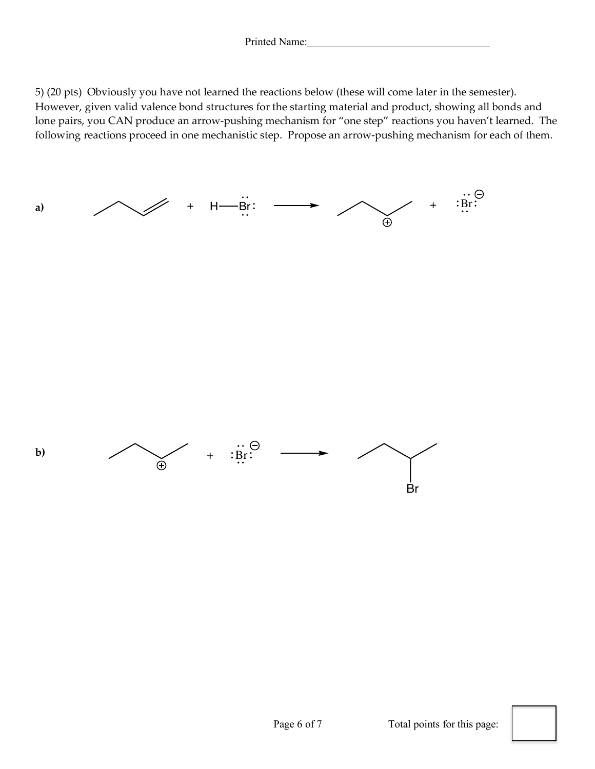5) (20 pts) Obviously you have not learned the reactions below (these will come later in the semester). However, given valid valence bond structures for the starting material and product, showing all bonds and lone pairs, you CAN produce an arrow-pushing mechanism for "one step" reactions you haven't learned. The following reactions proceed in one mechanistic step. Propose an arrow-pushing mechanism for each of them.